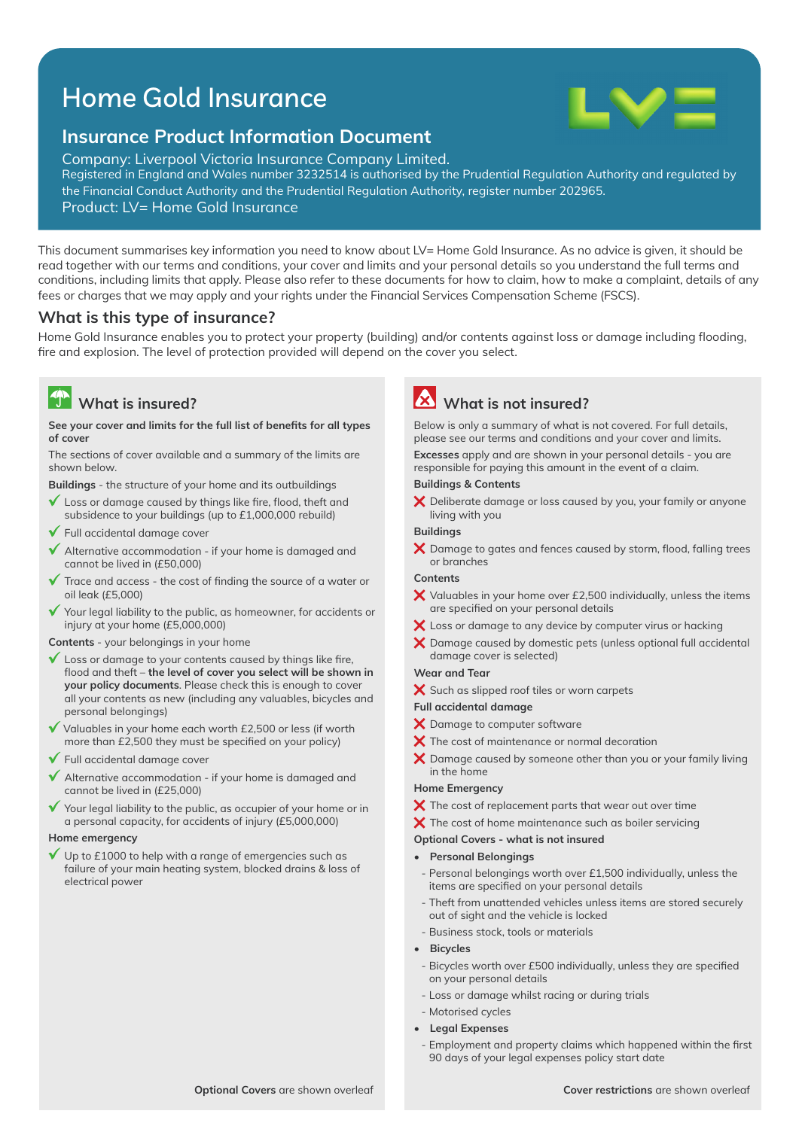# Home Gold Insurance



### **Insurance Product Information Document**

Company: Liverpool Victoria Insurance Company Limited. Registered in England and Wales number 3232514 is authorised by the Prudential Regulation Authority and regulated by the Financial Conduct Authority and the Prudential Regulation Authority, register number 202965.

Product: LV= Home Gold Insurance

This document summarises key information you need to know about LV= Home Gold Insurance. As no advice is given, it should be read together with our terms and conditions, your cover and limits and your personal details so you understand the full terms and conditions, including limits that apply. Please also refer to these documents for how to claim, how to make a complaint, details of any fees or charges that we may apply and your rights under the Financial Services Compensation Scheme (FSCS).

### **What is this type of insurance?**

Home Gold Insurance enables you to protect your property (building) and/or contents against loss or damage including flooding, fire and explosion. The level of protection provided will depend on the cover you select.

## **What is insured?**

#### See your cover and limits for the full list of benefits for all types **of cover**

The sections of cover available and a summary of the limits are shown below.

**Buildings** - the structure of your home and its outbuildings

- $\mathbf{v}$ Loss or damage caused by things like fire, flood, theft and subsidence to your buildings (up to £1,000,000 rebuild)
- $\checkmark$  Full accidental damage cover
- $\checkmark$  Alternative accommodation if your home is damaged and cannot be lived in (£50,000)
- Trace and access the cost of finding the source of a water or oil leak (£5,000)
- Your legal liability to the public, as homeowner, for accidents or  $\checkmark$ injury at your home (£5,000,000)

**Contents** - your belongings in your home

- $\checkmark$  Loss or damage to your contents caused by things like fire, flood and theft – the level of cover you select will be shown in **your policy documents**. Please check this is enough to cover all your contents as new (including any valuables, bicycles and personal belongings)
- $\checkmark$  Valuables in your home each worth £2,500 or less (if worth more than £2,500 they must be specified on your policy)
- $\checkmark$  Full accidental damage cover
- $\checkmark$  Alternative accommodation if your home is damaged and cannot be lived in (£25,000)
- $\checkmark$  Your legal liability to the public, as occupier of your home or in a personal capacity, for accidents of injury (£5,000,000)

#### **Home emergency**

Up to  $£1000$  to help with a range of emergencies such as failure of your main heating system, blocked drains & loss of electrical power

## **What is not insured?**

Below is only a summary of what is not covered. For full details, please see our terms and conditions and your cover and limits.

**Excesses** apply and are shown in your personal details - you are responsible for paying this amount in the event of a claim.

#### **Buildings & Contents**

 $\bm{\times}$  Deliberate damage or loss caused by you, your family or anyone living with you

#### **Buildings**

 $\bm{\times}$  Damage to gates and fences caused by storm, flood, falling trees or branches

#### **Contents**

- $\bm{\times}$  Valuables in your home over £2,500 individually, unless the items are specified on your personal details
- X Loss or damage to any device by computer virus or hacking
- $\boldsymbol{\times}$  Damage caused by domestic pets (unless optional full accidental damage cover is selected)

#### **Wear and Tear**

X Such as slipped roof tiles or worn carpets

#### **Full accidental damage**

- X Damage to computer software
- $\boldsymbol{\times}$  The cost of maintenance or normal decoration
- $\boldsymbol{\times}$  Damage caused by someone other than you or your family living in the home

#### **Home Emergency**

- $\boldsymbol{\times}$  The cost of replacement parts that wear out over time
- $\bm{\times}$  The cost of home maintenance such as boiler servicing

#### **Optional Covers - what is not insured**

- **Personal Belongings**
- Personal belongings worth over £1,500 individually, unless the items are specified on your personal details
- Theft from unattended vehicles unless items are stored securely out of sight and the vehicle is locked
- Business stock, tools or materials
- **Bicycles**
- Bicycles worth over £500 individually, unless they are specified on your personal details
- Loss or damage whilst racing or during trials
- Motorised cycles
- **Legal Expenses**
- Employment and property claims which happened within the first 90 days of your legal expenses policy start date